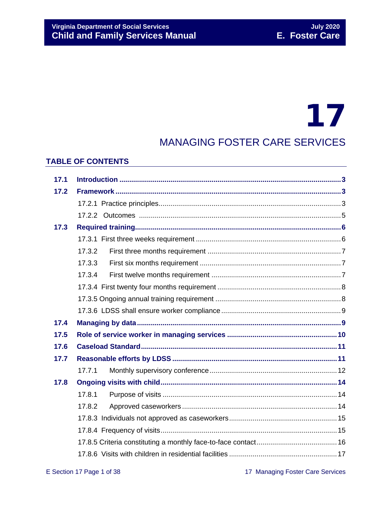# 17

## MANAGING FOSTER CARE SERVICES

## **TABLE OF CONTENTS**

| 17.1 |        |
|------|--------|
| 17.2 |        |
|      |        |
|      |        |
| 17.3 |        |
|      |        |
|      | 17.3.2 |
|      | 17.3.3 |
|      | 17.3.4 |
|      |        |
|      |        |
|      |        |
| 17.4 |        |
| 17.5 |        |
| 17.6 |        |
| 17.7 |        |
|      | 17.7.1 |
| 17.8 |        |
|      | 17.8.1 |
|      | 17.8.2 |
|      |        |
|      |        |
|      |        |
|      |        |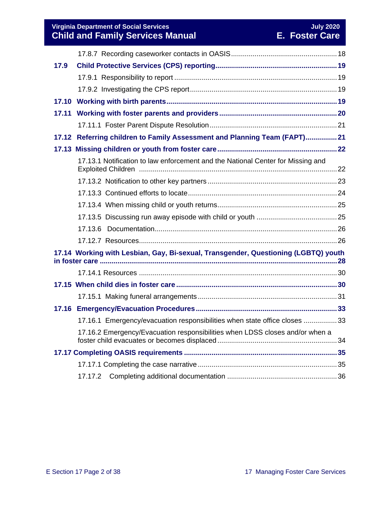**Virginia Department of Social Services July 2020 Child and Family Services Manual E. Foster Care**

| 17.9  |                                                                                    |  |
|-------|------------------------------------------------------------------------------------|--|
|       |                                                                                    |  |
|       |                                                                                    |  |
|       |                                                                                    |  |
| 17.11 |                                                                                    |  |
|       |                                                                                    |  |
|       | 17.12 Referring children to Family Assessment and Planning Team (FAPT) 21          |  |
|       |                                                                                    |  |
|       | 17.13.1 Notification to law enforcement and the National Center for Missing and    |  |
|       |                                                                                    |  |
|       |                                                                                    |  |
|       |                                                                                    |  |
|       |                                                                                    |  |
|       |                                                                                    |  |
|       |                                                                                    |  |
|       | 17.14 Working with Lesbian, Gay, Bi-sexual, Transgender, Questioning (LGBTQ) youth |  |
|       |                                                                                    |  |
|       |                                                                                    |  |
|       |                                                                                    |  |
|       |                                                                                    |  |
|       | 17.16.1 Emergency/evacuation responsibilities when state office closes 33          |  |
|       | 17.16.2 Emergency/Evacuation responsibilities when LDSS closes and/or when a       |  |
|       |                                                                                    |  |
|       |                                                                                    |  |
|       | 17.17.2                                                                            |  |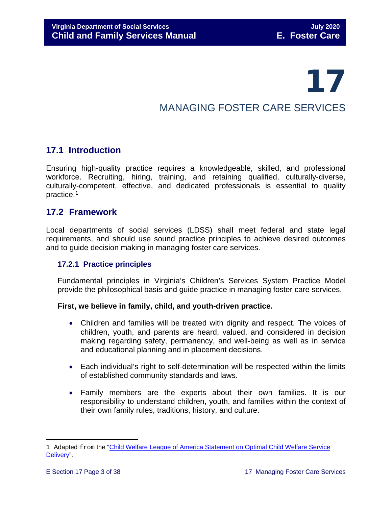# 17

## MANAGING FOSTER CARE SERVICES

## <span id="page-2-0"></span>**17.1 Introduction**

Ensuring high-quality practice requires a knowledgeable, skilled, and professional workforce. Recruiting, hiring, training, and retaining qualified, culturally-diverse, culturally-competent, effective, and dedicated professionals is essential to quality practice.[1](#page-2-3)

## <span id="page-2-1"></span>**17.2 Framework**

Local departments of social services (LDSS) shall meet federal and state legal requirements, and should use sound practice principles to achieve desired outcomes and to guide decision making in managing foster care services.

## <span id="page-2-2"></span>**17.2.1 Practice principles**

Fundamental principles in Virginia's Children's Services System Practice Model provide the philosophical basis and guide practice in managing foster care services.

## **First, we believe in family, child, and youth-driven practice.**

- Children and families will be treated with dignity and respect. The voices of children, youth, and parents are heard, valued, and considered in decision making regarding safety, permanency, and well-being as well as in service and educational planning and in placement decisions.
- Each individual's right to self-determination will be respected within the limits of established community standards and laws.
- Family members are the experts about their own families. It is our responsibility to understand children, youth, and families within the context of their own family rules, traditions, history, and culture.

<span id="page-2-3"></span>Ĩ. 1 Adapted from the "Child Welfare League of America Statement on Optimal Child Welfare Service [Delivery"](http://www.cwla.org/advocacy/financingoptimaldeliv.htm).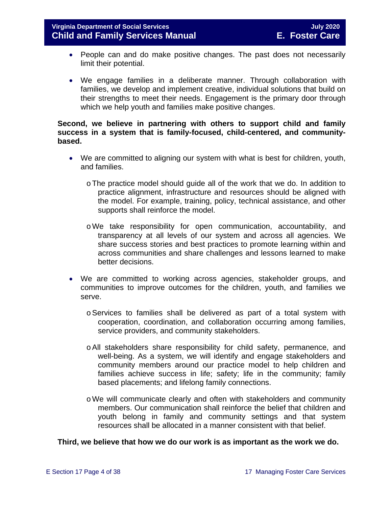- People can and do make positive changes. The past does not necessarily limit their potential.
- We engage families in a deliberate manner. Through collaboration with families, we develop and implement creative, individual solutions that build on their strengths to meet their needs. Engagement is the primary door through which we help youth and families make positive changes.

## **Second, we believe in partnering with others to support child and family success in a system that is family-focused, child-centered, and communitybased.**

- We are committed to aligning our system with what is best for children, youth, and families.
	- oThe practice model should guide all of the work that we do. In addition to practice alignment, infrastructure and resources should be aligned with the model. For example, training, policy, technical assistance, and other supports shall reinforce the model.
	- oWe take responsibility for open communication, accountability, and transparency at all levels of our system and across all agencies. We share success stories and best practices to promote learning within and across communities and share challenges and lessons learned to make better decisions.
- We are committed to working across agencies, stakeholder groups, and communities to improve outcomes for the children, youth, and families we serve.
	- oServices to families shall be delivered as part of a total system with cooperation, coordination, and collaboration occurring among families, service providers, and community stakeholders.
	- oAll stakeholders share responsibility for child safety, permanence, and well-being. As a system, we will identify and engage stakeholders and community members around our practice model to help children and families achieve success in life; safety; life in the community; family based placements; and lifelong family connections.
	- oWe will communicate clearly and often with stakeholders and community members. Our communication shall reinforce the belief that children and youth belong in family and community settings and that system resources shall be allocated in a manner consistent with that belief.

#### **Third, we believe that how we do our work is as important as the work we do.**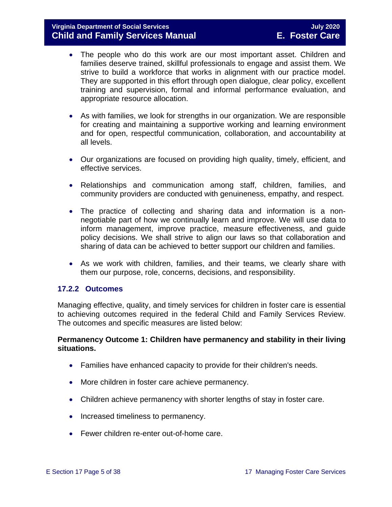- The people who do this work are our most important asset. Children and families deserve trained, skillful professionals to engage and assist them. We strive to build a workforce that works in alignment with our practice model. They are supported in this effort through open dialogue, clear policy, excellent training and supervision, formal and informal performance evaluation, and appropriate resource allocation.
- As with families, we look for strengths in our organization. We are responsible for creating and maintaining a supportive working and learning environment and for open, respectful communication, collaboration, and accountability at all levels.
- Our organizations are focused on providing high quality, timely, efficient, and effective services.
- Relationships and communication among staff, children, families, and community providers are conducted with genuineness, empathy, and respect.
- The practice of collecting and sharing data and information is a nonnegotiable part of how we continually learn and improve. We will use data to inform management, improve practice, measure effectiveness, and guide policy decisions. We shall strive to align our laws so that collaboration and sharing of data can be achieved to better support our children and families.
- As we work with children, families, and their teams, we clearly share with them our purpose, role, concerns, decisions, and responsibility.

## <span id="page-4-0"></span>**17.2.2 Outcomes**

Managing effective, quality, and timely services for children in foster care is essential to achieving outcomes required in the federal Child and Family Services Review. The outcomes and specific measures are listed below:

## **Permanency Outcome 1: Children have permanency and stability in their living situations.**

- Families have enhanced capacity to provide for their children's needs.
- More children in foster care achieve permanency.
- Children achieve permanency with shorter lengths of stay in foster care.
- Increased timeliness to permanency.
- Fewer children re-enter out-of-home care.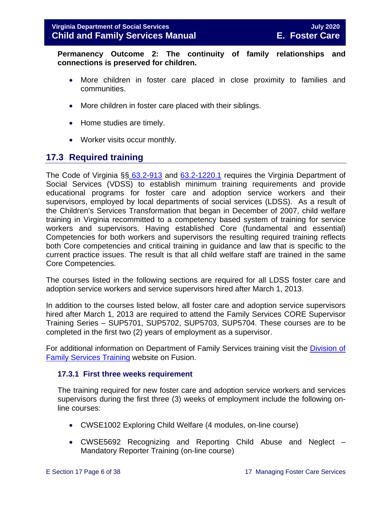**Permanency Outcome 2: The continuity of family relationships and connections is preserved for children.**

- More children in foster care placed in close proximity to families and communities.
- More children in foster care placed with their siblings.
- Home studies are timely.
- Worker visits occur monthly.

## <span id="page-5-0"></span>**17.3 Required training**

The Code of Virginia §§ [63.2-913](https://law.lis.virginia.go/vacode/63.2-913/) and [63.2-1220.1](https://law.lis.virginia.go/vacode/63.2-1220.1/) requires the Virginia Department of Social Services (VDSS) to establish minimum training requirements and provide educational programs for foster care and adoption service workers and their supervisors, employed by local departments of social services (LDSS). As a result of the Children's Services Transformation that began in December of 2007, child welfare training in Virginia recommitted to a competency based system of training for service workers and supervisors. Having established Core (fundamental and essential) Competencies for both workers and supervisors the resulting required training reflects both Core competencies and critical training in guidance and law that is specific to the current practice issues. The result is that all child welfare staff are trained in the same Core Competencies.

The courses listed in the following sections are required for all LDSS foster care and adoption service workers and service supervisors hired after March 1, 2013.

In addition to the courses listed below, all foster care and adoption service supervisors hired after March 1, 2013 are required to attend the Family Services CORE Supervisor Training Series – SUP5701, SUP5702, SUP5703, SUP5704. These courses are to be completed in the first two (2) years of employment as a supervisor.

For additional information on Department of Family Services training visit the [Division of](https://fusion.dss.virginia.gov/dfs/DFS-Home/Family-Services-Training)  [Family Services Training](https://fusion.dss.virginia.gov/dfs/DFS-Home/Family-Services-Training) website on Fusion.

#### <span id="page-5-1"></span>**17.3.1 First three weeks requirement**

The training required for new foster care and adoption service workers and services supervisors during the first three (3) weeks of employment include the following online courses:

- CWSE1002 Exploring Child Welfare (4 modules, on-line course)
- CWSE5692 Recognizing and Reporting Child Abuse and Neglect Mandatory Reporter Training (on-line course)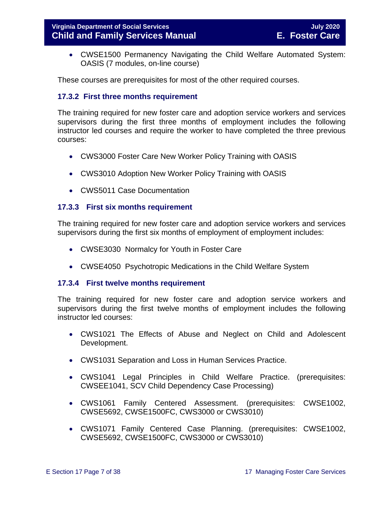• CWSE1500 Permanency Navigating the Child Welfare Automated System: OASIS (7 modules, on-line course)

These courses are prerequisites for most of the other required courses.

## <span id="page-6-0"></span>**17.3.2 First three months requirement**

The training required for new foster care and adoption service workers and services supervisors during the first three months of employment includes the following instructor led courses and require the worker to have completed the three previous courses:

- CWS3000 Foster Care New Worker Policy Training with OASIS
- CWS3010 Adoption New Worker Policy Training with OASIS
- CWS5011 Case Documentation

## <span id="page-6-1"></span>**17.3.3 First six months requirement**

The training required for new foster care and adoption service workers and services supervisors during the first six months of employment of employment includes:

- CWSE3030 Normalcy for Youth in Foster Care
- CWSE4050 Psychotropic Medications in the Child Welfare System

#### <span id="page-6-2"></span>**17.3.4 First twelve months requirement**

The training required for new foster care and adoption service workers and supervisors during the first twelve months of employment includes the following instructor led courses:

- CWS1021 The Effects of Abuse and Neglect on Child and Adolescent Development.
- CWS1031 Separation and Loss in Human Services Practice.
- CWS1041 Legal Principles in Child Welfare Practice. (prerequisites: CWSEE1041, SCV Child Dependency Case Processing)
- CWS1061 Family Centered Assessment. (prerequisites: CWSE1002, CWSE5692, CWSE1500FC, CWS3000 or CWS3010)
- CWS1071 Family Centered Case Planning. (prerequisites: CWSE1002, CWSE5692, CWSE1500FC, CWS3000 or CWS3010)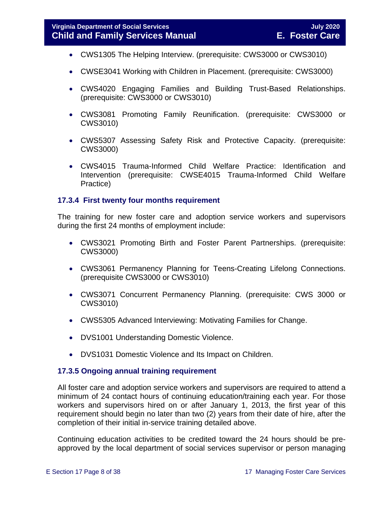- CWS1305 The Helping Interview. (prerequisite: CWS3000 or CWS3010)
- CWSE3041 Working with Children in Placement. (prerequisite: CWS3000)
- CWS4020 Engaging Families and Building Trust-Based Relationships. (prerequisite: CWS3000 or CWS3010)
- CWS3081 Promoting Family Reunification. (prerequisite: CWS3000 or CWS3010)
- CWS5307 Assessing Safety Risk and Protective Capacity. (prerequisite: CWS3000)
- CWS4015 Trauma-Informed Child Welfare Practice: Identification and Intervention (prerequisite: CWSE4015 Trauma-Informed Child Welfare Practice)

## <span id="page-7-0"></span>**17.3.4 First twenty four months requirement**

The training for new foster care and adoption service workers and supervisors during the first 24 months of employment include:

- CWS3021 Promoting Birth and Foster Parent Partnerships. (prerequisite: CWS3000)
- CWS3061 Permanency Planning for Teens-Creating Lifelong Connections. (prerequisite CWS3000 or CWS3010)
- CWS3071 Concurrent Permanency Planning. (prerequisite: CWS 3000 or CWS3010)
- CWS5305 Advanced Interviewing: Motivating Families for Change.
- DVS1001 Understanding Domestic Violence.
- DVS1031 Domestic Violence and Its Impact on Children.

## <span id="page-7-1"></span>**17.3.5 Ongoing annual training requirement**

All foster care and adoption service workers and supervisors are required to attend a minimum of 24 contact hours of continuing education/training each year. For those workers and supervisors hired on or after January 1, 2013, the first year of this requirement should begin no later than two (2) years from their date of hire, after the completion of their initial in-service training detailed above.

Continuing education activities to be credited toward the 24 hours should be preapproved by the local department of social services supervisor or person managing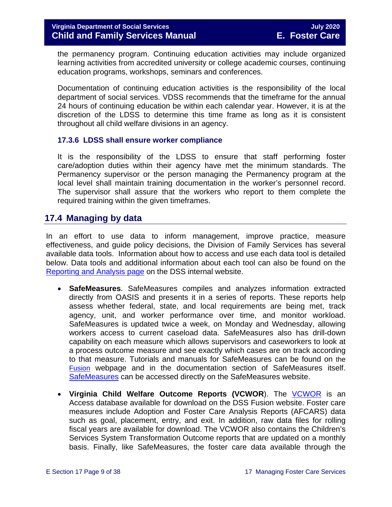the permanency program. Continuing education activities may include organized learning activities from accredited university or college academic courses, continuing education programs, workshops, seminars and conferences.

Documentation of continuing education activities is the responsibility of the local department of social services. VDSS recommends that the timeframe for the annual 24 hours of continuing education be within each calendar year. However, it is at the discretion of the LDSS to determine this time frame as long as it is consistent throughout all child welfare divisions in an agency.

## <span id="page-8-0"></span>**17.3.6 LDSS shall ensure worker compliance**

It is the responsibility of the LDSS to ensure that staff performing foster care/adoption duties within their agency have met the minimum standards. The Permanency supervisor or the person managing the Permanency program at the local level shall maintain training documentation in the worker's personnel record. The supervisor shall assure that the workers who report to them complete the required training within the given timeframes.

## <span id="page-8-1"></span>**17.4 Managing by data**

In an effort to use data to inform management, improve practice, measure effectiveness, and guide policy decisions, the Division of Family Services has several available data tools. Information about how to access and use each data tool is detailed below. Data tools and additional information about each tool can also be found on the [Reporting and Analysis page](https://fusion.dss.virginia.gov/dfs/DFS-Home/FAMILY-SERVICES-REPORTING) on the DSS internal website.

- **SafeMeasures**. SafeMeasures compiles and analyzes information extracted directly from OASIS and presents it in a series of reports. These reports help assess whether federal, state, and local requirements are being met, track agency, unit, and worker performance over time, and monitor workload. SafeMeasures is updated twice a week, on Monday and Wednesday, allowing workers access to current caseload data. SafeMeasures also has drill-down capability on each measure which allows supervisors and caseworkers to look at a process outcome measure and see exactly which cases are on track according to that measure. Tutorials and manuals for SafeMeasures can be found on the [Fusion](http://spark.dss.virginia.gov/divisions/dfs/reporting/index.cgi) webpage and in the documentation section of SafeMeasures itself. [SafeMeasures](https://app.safemeasures.org/vadss) can be accessed directly on the SafeMeasures website.
- **Virginia Child Welfare Outcome Reports (VCWOR**). The [VCWOR](https://fusion.dss.virginia.gov/dfs/DFS-Home/FAMILY-SERVICES-REPORTING) is an Access database available for download on the DSS Fusion website. Foster care measures include Adoption and Foster Care Analysis Reports (AFCARS) data such as goal, placement, entry, and exit. In addition, raw data files for rolling fiscal years are available for download. The VCWOR also contains the Children's Services System Transformation Outcome reports that are updated on a monthly basis. Finally, like SafeMeasures, the foster care data available through the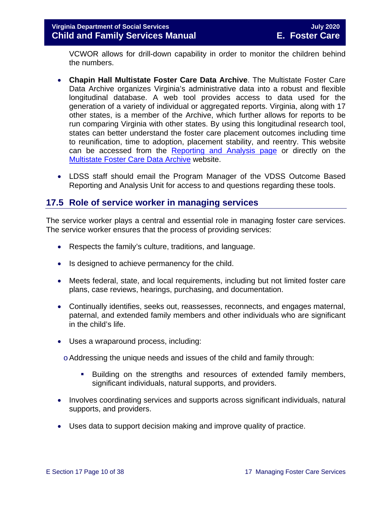VCWOR allows for drill-down capability in order to monitor the children behind the numbers.

- **Chapin Hall Multistate Foster Care Data Archive**. The Multistate Foster Care Data Archive organizes Virginia's administrative data into a robust and flexible longitudinal database. A web tool provides access to data used for the generation of a variety of individual or aggregated reports. Virginia, along with 17 other states, is a member of the Archive, which further allows for reports to be run comparing Virginia with other states. By using this longitudinal research tool, states can better understand the foster care placement outcomes including time to reunification, time to adoption, placement stability, and reentry. This website can be accessed from the [Reporting and Analysis page](https://fusion.dss.virginia.gov/dfs/DFS-Home/FAMILY-SERVICES-REPORTING) or directly on the [Multistate Foster Care Data Archive](https://fcda.chapinhall.org/) website.
- LDSS staff should email the Program Manager of the VDSS Outcome Based Reporting and Analysis Unit for access to and questions regarding these tools.

## <span id="page-9-0"></span>**17.5 Role of service worker in managing services**

The service worker plays a central and essential role in managing foster care services. The service worker ensures that the process of providing services:

- Respects the family's culture, traditions, and language.
- Is designed to achieve permanency for the child.
- Meets federal, state, and local requirements, including but not limited foster care plans, case reviews, hearings, purchasing, and documentation.
- Continually identifies, seeks out, reassesses, reconnects, and engages maternal, paternal, and extended family members and other individuals who are significant in the child's life.
- Uses a wraparound process, including:

 $\circ$  Addressing the unique needs and issues of the child and family through:

- Building on the strengths and resources of extended family members, significant individuals, natural supports, and providers.
- Involves coordinating services and supports across significant individuals, natural supports, and providers.
- Uses data to support decision making and improve quality of practice.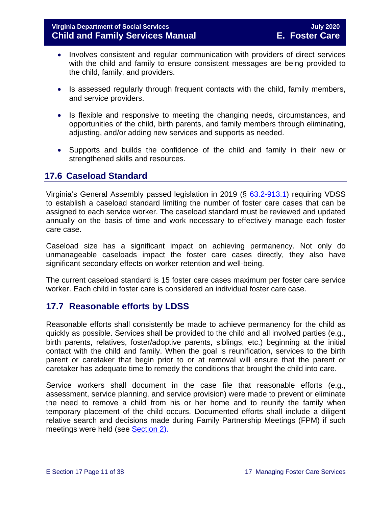- Involves consistent and regular communication with providers of direct services with the child and family to ensure consistent messages are being provided to the child, family, and providers.
- Is assessed regularly through frequent contacts with the child, family members, and service providers.
- Is flexible and responsive to meeting the changing needs, circumstances, and opportunities of the child, birth parents, and family members through eliminating, adjusting, and/or adding new services and supports as needed.
- Supports and builds the confidence of the child and family in their new or strengthened skills and resources.

## <span id="page-10-0"></span>**17.6 Caseload Standard**

Virginia's General Assembly passed legislation in 2019 (§ [63.2-913.1\)](https://law.lis.virginia.gov/vacode/title63.2/chapter9/section63.2-913.1/) requiring VDSS to establish a caseload standard limiting the number of foster care cases that can be assigned to each service worker. The caseload standard must be reviewed and updated annually on the basis of time and work necessary to effectively manage each foster care case.

Caseload size has a significant impact on achieving permanency. Not only do unmanageable caseloads impact the foster care cases directly, they also have significant secondary effects on worker retention and well-being.

The current caseload standard is 15 foster care cases maximum per foster care service worker. Each child in foster care is considered an individual foster care case.

## <span id="page-10-1"></span>**17.7 Reasonable efforts by LDSS**

Reasonable efforts shall consistently be made to achieve permanency for the child as quickly as possible. Services shall be provided to the child and all involved parties (e.g., birth parents, relatives, foster/adoptive parents, siblings, etc.) beginning at the initial contact with the child and family. When the goal is reunification, services to the birth parent or caretaker that begin prior to or at removal will ensure that the parent or caretaker has adequate time to remedy the conditions that brought the child into care.

Service workers shall document in the case file that reasonable efforts (e.g., assessment, service planning, and service provision) were made to prevent or eliminate the need to remove a child from his or her home and to reunify the family when temporary placement of the child occurs. Documented efforts shall include a diligent relative search and decisions made during Family Partnership Meetings (FPM) if such meetings were held (see [Section 2\)](https://fusion.dss.virginia.gov/Portals/%5bdfs%5d/Files/DFS%20Manuals/Foster%20Care%20Manuals/Foster%20Care%20Manual%2007-2020/Final%20Foster%20Care%20Manual%2007-2020/section_2_engaging_the_child_family_and_significant_adults.pdf).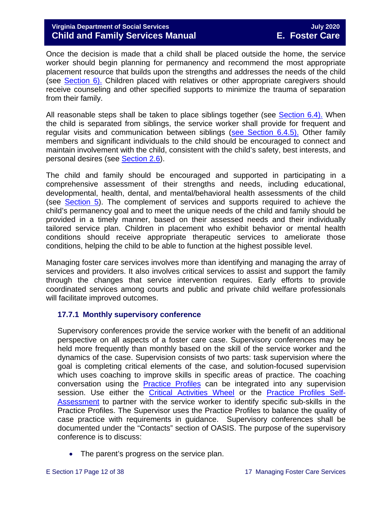## **Virginia Department of Social Services July 2020 Child and Family Services Manual E. Foster Care**

Once the decision is made that a child shall be placed outside the home, the service worker should begin planning for permanency and recommend the most appropriate placement resource that builds upon the strengths and addresses the needs of the child (see [Section 6\).](https://fusion.dss.virginia.gov/Portals/%5bdfs%5d/Files/DFS%20Manuals/Foster%20Care%20Manuals/Foster%20Care%20Manual%2007-2020/Final%20Foster%20Care%20Manual%2007-2020/section_6_placement_to_achieve_permanency.pdf) Children placed with relatives or other appropriate caregivers should receive counseling and other specified supports to minimize the trauma of separation from their family.

All reasonable steps shall be taken to place siblings together (see Section 6.4). When the child is separated from siblings, the service worker shall provide for frequent and regular visits and communication between siblings (see Section 6.4.5). Other family members and significant individuals to the child should be encouraged to connect and maintain involvement with the child, consistent with the child's safety, best interests, and personal desires (see [Section](https://fusion.dss.virginia.gov/Portals/%5bdfs%5d/Files/DFS%20Manuals/Foster%20Care%20Manuals/Foster%20Care%20Manual%2007-2020/Final%20Foster%20Care%20Manual%2007-2020/section_2_engaging_the_child_family_and_significant_adults.pdf#page=13) 2.6).

The child and family should be encouraged and supported in participating in a comprehensive assessment of their strengths and needs, including educational, developmental, health, dental, and mental/behavioral health assessments of the child (see [Section 5\)](https://fusion.dss.virginia.gov/Portals/%5bdfs%5d/Files/DFS%20Manuals/Foster%20Care%20Manuals/Foster%20Care%20Manual%2007-2020/Final%20Foster%20Care%20Manual%2007-2020/section_5_conducting_child_and_family_assessment.pdf). The complement of services and supports required to achieve the child's permanency goal and to meet the unique needs of the child and family should be provided in a timely manner, based on their assessed needs and their individually tailored service plan. Children in placement who exhibit behavior or mental health conditions should receive appropriate therapeutic services to ameliorate those conditions, helping the child to be able to function at the highest possible level.

Managing foster care services involves more than identifying and managing the array of services and providers. It also involves critical services to assist and support the family through the changes that service intervention requires. Early efforts to provide coordinated services among courts and public and private child welfare professionals will facilitate improved outcomes.

## <span id="page-11-0"></span>**17.7.1 Monthly supervisory conference**

Supervisory conferences provide the service worker with the benefit of an additional perspective on all aspects of a foster care case. Supervisory conferences may be held more frequently than monthly based on the skill of the service worker and the dynamics of the case. Supervision consists of two parts: task supervision where the goal is completing critical elements of the case, and solution-focused supervision which uses coaching to improve skills in specific areas of practice. The coaching conversation using the [Practice Profiles](https://fusion.dss.virginia.gov/Portals/%5Bdfs%5D/Files/Children%27s%20Services%20Practice%20Model/Practice%20Profiles%20%26%20Coaching/VDSSFamServ_Practice_ProfilesV12016.pdf) can be integrated into any supervision session. Use either the [Critical Activities Wheel](https://fusion.dss.virginia.gov/Portals/%5Bdfs%5D/Files/Children%27s%20Services%20Practice%20Model/Practice%20Profiles%20%26%20Coaching/Critical_Activities_Wheel.pdf) or the [Practice Profiles Self-](https://fusion.dss.virginia.gov/Portals/%5Bdfs%5D/Files/Children%27s%20Services%20Practice%20Model/Practice%20Profiles%20%26%20Coaching/Practice_Profiles_Self-Assessmentv2.pdf)[Assessment](https://fusion.dss.virginia.gov/Portals/%5Bdfs%5D/Files/Children%27s%20Services%20Practice%20Model/Practice%20Profiles%20%26%20Coaching/Practice_Profiles_Self-Assessmentv2.pdf) to partner with the service worker to identify specific sub-skills in the Practice Profiles. The Supervisor uses the Practice Profiles to balance the quality of case practice with requirements in guidance. Supervisory conferences shall be documented under the "Contacts" section of OASIS. The purpose of the supervisory conference is to discuss:

• The parent's progress on the service plan.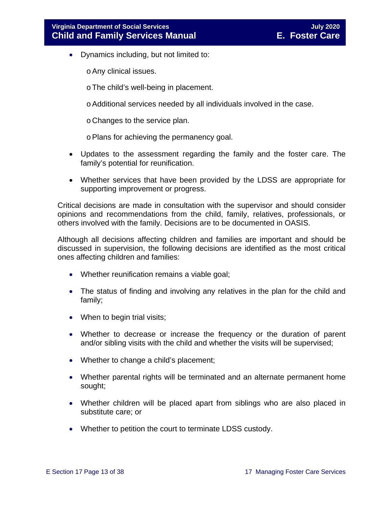- Dynamics including, but not limited to:
	- oAny clinical issues.
	- oThe child's well-being in placement.
	- oAdditional services needed by all individuals involved in the case.
	- o Changes to the service plan.
	- oPlans for achieving the permanency goal.
- Updates to the assessment regarding the family and the foster care. The family's potential for reunification.
- Whether services that have been provided by the LDSS are appropriate for supporting improvement or progress.

Critical decisions are made in consultation with the supervisor and should consider opinions and recommendations from the child, family, relatives, professionals, or others involved with the family. Decisions are to be documented in OASIS.

Although all decisions affecting children and families are important and should be discussed in supervision, the following decisions are identified as the most critical ones affecting children and families:

- Whether reunification remains a viable goal;
- The status of finding and involving any relatives in the plan for the child and family;
- When to begin trial visits;
- Whether to decrease or increase the frequency or the duration of parent and/or sibling visits with the child and whether the visits will be supervised;
- Whether to change a child's placement;
- Whether parental rights will be terminated and an alternate permanent home sought;
- Whether children will be placed apart from siblings who are also placed in substitute care; or
- Whether to petition the court to terminate LDSS custody.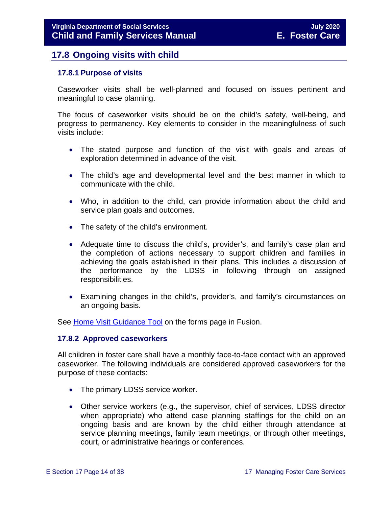## <span id="page-13-0"></span>**17.8 Ongoing visits with child**

## <span id="page-13-1"></span>**17.8.1 Purpose of visits**

Caseworker visits shall be well-planned and focused on issues pertinent and meaningful to case planning.

The focus of caseworker visits should be on the child's safety, well-being, and progress to permanency. Key elements to consider in the meaningfulness of such visits include:

- The stated purpose and function of the visit with goals and areas of exploration determined in advance of the visit.
- The child's age and developmental level and the best manner in which to communicate with the child.
- Who, in addition to the child, can provide information about the child and service plan goals and outcomes.
- The safety of the child's environment.
- Adequate time to discuss the child's, provider's, and family's case plan and the completion of actions necessary to support children and families in achieving the goals established in their plans. This includes a discussion of the performance by the LDSS in following through on assigned responsibilities.
- Examining changes in the child's, provider's, and family's circumstances on an ongoing basis.

See Home Visit [Guidance Tool](https://fusion.dss.virginia.gov/Portals/%5Bdfs%5D/Files/Foster%20Care/Job%20Aids%20%26%20Resources/Monthly%20Worker%20Visit%20Checklist.pdf) on the forms page in Fusion.

#### <span id="page-13-2"></span>**17.8.2 Approved caseworkers**

All children in foster care shall have a monthly face-to-face contact with an approved caseworker. The following individuals are considered approved caseworkers for the purpose of these contacts:

- The primary LDSS service worker.
- Other service workers (e.g., the supervisor, chief of services, LDSS director when appropriate) who attend case planning staffings for the child on an ongoing basis and are known by the child either through attendance at service planning meetings, family team meetings, or through other meetings, court, or administrative hearings or conferences.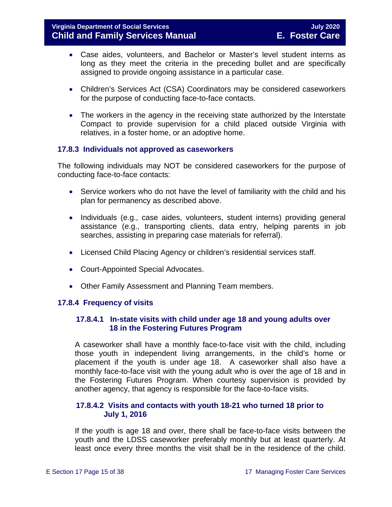- Case aides, volunteers, and Bachelor or Master's level student interns as long as they meet the criteria in the preceding bullet and are specifically assigned to provide ongoing assistance in a particular case.
- Children's Services Act (CSA) Coordinators may be considered caseworkers for the purpose of conducting face-to-face contacts.
- The workers in the agency in the receiving state authorized by the Interstate Compact to provide supervision for a child placed outside Virginia with relatives, in a foster home, or an adoptive home.

## <span id="page-14-0"></span>**17.8.3 Individuals not approved as caseworkers**

The following individuals may NOT be considered caseworkers for the purpose of conducting face-to-face contacts:

- Service workers who do not have the level of familiarity with the child and his plan for permanency as described above.
- Individuals (e.g., case aides, volunteers, student interns) providing general assistance (e.g., transporting clients, data entry, helping parents in job searches, assisting in preparing case materials for referral).
- Licensed Child Placing Agency or children's residential services staff.
- Court-Appointed Special Advocates.
- Other Family Assessment and Planning Team members.

## <span id="page-14-1"></span>**17.8.4 Frequency of visits**

## **17.8.4.1 In-state visits with child under age 18 and young adults over 18 in the Fostering Futures Program**

A caseworker shall have a monthly face-to-face visit with the child, including those youth in independent living arrangements, in the child's home or placement if the youth is under age 18. A caseworker shall also have a monthly face-to-face visit with the young adult who is over the age of 18 and in the Fostering Futures Program. When courtesy supervision is provided by another agency, that agency is responsible for the face-to-face visits.

## **17.8.4.2 Visits and contacts with youth 18-21 who turned 18 prior to July 1, 2016**

If the youth is age 18 and over, there shall be face-to-face visits between the youth and the LDSS caseworker preferably monthly but at least quarterly. At least once every three months the visit shall be in the residence of the child.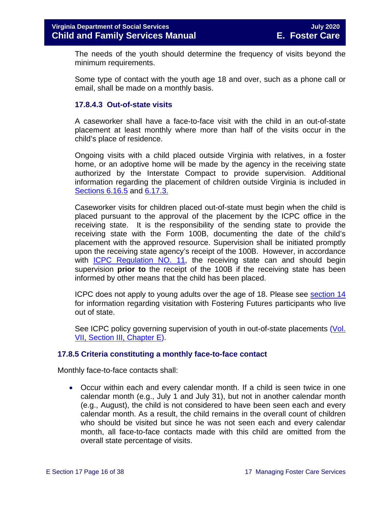The needs of the youth should determine the frequency of visits beyond the minimum requirements.

Some type of contact with the youth age 18 and over, such as a phone call or email, shall be made on a monthly basis.

## **17.8.4.3 Out-of-state visits**

A caseworker shall have a face-to-face visit with the child in an out-of-state placement at least monthly where more than half of the visits occur in the child's place of residence.

Ongoing visits with a child placed outside Virginia with relatives, in a foster home, or an adoptive home will be made by the agency in the receiving state authorized by the Interstate Compact to provide supervision. Additional information regarding the placement of children outside Virginia is included in Sections 6.16.5 and 6.17.3.

Caseworker visits for children placed out-of-state must begin when the child is placed pursuant to the approval of the placement by the ICPC office in the receiving state. It is the responsibility of the sending state to provide the receiving state with the Form 100B, documenting the date of the child's placement with the approved resource. Supervision shall be initiated promptly upon the receiving state agency's receipt of the 100B. However, in accordance with **ICPC** Regulation NO. 11, the receiving state can and should begin supervision **prior to** the receipt of the 100B if the receiving state has been informed by other means that the child has been placed.

ICPC does not apply to young adults over the age of 18. Please see [section 14](https://fusion.dss.virginia.gov/Portals/%5bdfs%5d/Files/DFS%20Manuals/Foster%20Care%20Manuals/Foster%20Care%20Manual%2007-2020/Final%20Foster%20Care%20Manual%2007-2020/Section_14_Fostering_Futures.pdf) for information regarding visitation with Fostering Futures participants who live out of state.

See ICPC policy governing supervision of youth in out-of-state placements (Vol. [VII, Section III, Chapter](https://fusion.dss.virginia.gov/Portals/%5Bdfs%5D/Files/ICPC%20and%20ICAMA/procedures.pdf) E).

#### <span id="page-15-0"></span>**17.8.5 Criteria constituting a monthly face-to-face contact**

Monthly face-to-face contacts shall:

• Occur within each and every calendar month. If a child is seen twice in one calendar month (e.g., July 1 and July 31), but not in another calendar month (e.g., August), the child is not considered to have been seen each and every calendar month. As a result, the child remains in the overall count of children who should be visited but since he was not seen each and every calendar month, all face-to-face contacts made with this child are omitted from the overall state percentage of visits.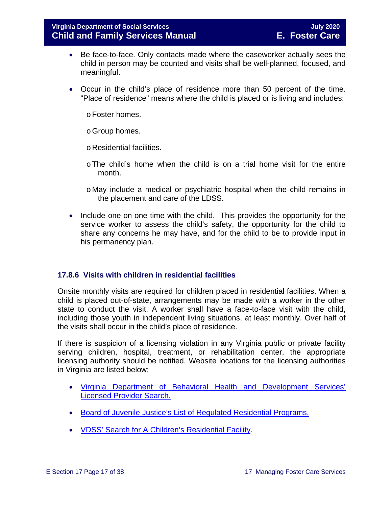- Be face-to-face. Only contacts made where the caseworker actually sees the child in person may be counted and visits shall be well-planned, focused, and meaningful.
- Occur in the child's place of residence more than 50 percent of the time. "Place of residence" means where the child is placed or is living and includes:
	- oFoster homes.
	- oGroup homes.
	- o Residential facilities.
	- oThe child's home when the child is on a trial home visit for the entire month.
	- o May include a medical or psychiatric hospital when the child remains in the placement and care of the LDSS.
- Include one-on-one time with the child. This provides the opportunity for the service worker to assess the child's safety, the opportunity for the child to share any concerns he may have, and for the child to be to provide input in his permanency plan.

## <span id="page-16-0"></span>**17.8.6 Visits with children in residential facilities**

Onsite monthly visits are required for children placed in residential facilities. When a child is placed out-of-state, arrangements may be made with a worker in the other state to conduct the visit. A worker shall have a face-to-face visit with the child, including those youth in independent living situations, at least monthly. Over half of the visits shall occur in the child's place of residence.

If there is suspicion of a licensing violation in any Virginia public or private facility serving children, hospital, treatment, or rehabilitation center, the appropriate licensing authority should be notified. Website locations for the licensing authorities in Virginia are listed below:

- [Virginia Department of Behavioral Health and Development Services'](http://www.dbhds.virginia.gov/professionals-and-service-providers/licensing)  [Licensed Provider Search.](http://www.dbhds.virginia.gov/professionals-and-service-providers/licensing)
- [Board of Juvenile Justice's List of Regulated Residential Programs.](http://www.djj.virginia.gov/pages/about-djj/djj-board.htm)
- [VDSS' Search for A Children's Residential Facility.](http://www.dss.virginia.gov/facility/search/crf.cgi)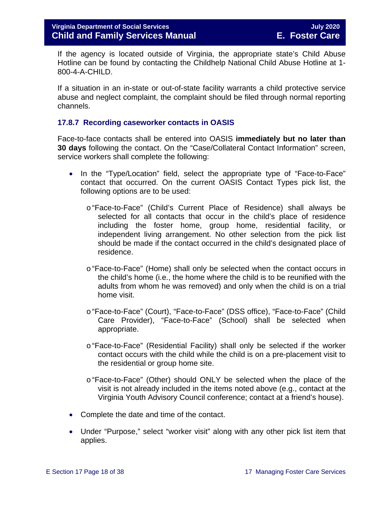If the agency is located outside of Virginia, the appropriate state's Child Abuse Hotline can be found by contacting the Childhelp National Child Abuse Hotline at 1- 800-4-A-CHILD.

If a situation in an in-state or out-of-state facility warrants a child protective service abuse and neglect complaint, the complaint should be filed through normal reporting channels.

## <span id="page-17-0"></span>**17.8.7 Recording caseworker contacts in OASIS**

Face-to-face contacts shall be entered into OASIS **immediately but no later than 30 days** following the contact. On the "Case/Collateral Contact Information" screen, service workers shall complete the following:

- In the "Type/Location" field, select the appropriate type of "Face-to-Face" contact that occurred. On the current OASIS Contact Types pick list, the following options are to be used:
	- o"Face-to-Face" (Child's Current Place of Residence) shall always be selected for all contacts that occur in the child's place of residence including the foster home, group home, residential facility, or independent living arrangement. No other selection from the pick list should be made if the contact occurred in the child's designated place of residence.
	- o"Face-to-Face" (Home) shall only be selected when the contact occurs in the child's home (i.e., the home where the child is to be reunified with the adults from whom he was removed) and only when the child is on a trial home visit.
	- o"Face-to-Face" (Court), "Face-to-Face" (DSS office), "Face-to-Face" (Child Care Provider), "Face-to-Face" (School) shall be selected when appropriate.
	- o "Face-to-Face" (Residential Facility) shall only be selected if the worker contact occurs with the child while the child is on a pre-placement visit to the residential or group home site.
	- o"Face-to-Face" (Other) should ONLY be selected when the place of the visit is not already included in the items noted above (e.g., contact at the Virginia Youth Advisory Council conference; contact at a friend's house).
- Complete the date and time of the contact.
- Under "Purpose," select "worker visit" along with any other pick list item that applies.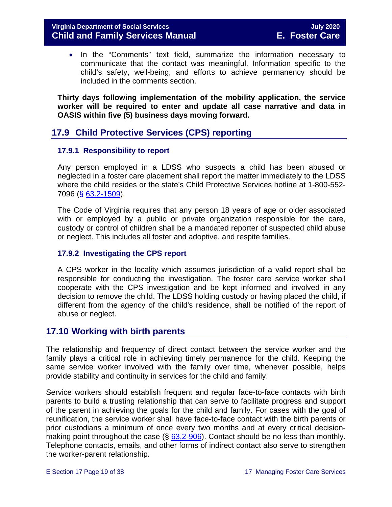• In the "Comments" text field, summarize the information necessary to communicate that the contact was meaningful. Information specific to the child's safety, well-being, and efforts to achieve permanency should be included in the comments section.

**Thirty days following implementation of the mobility application, the service worker will be required to enter and update all case narrative and data in OASIS within five (5) business days moving forward.** 

## <span id="page-18-0"></span>**17.9 Child Protective Services (CPS) reporting**

## <span id="page-18-1"></span>**17.9.1 Responsibility to report**

Any person employed in a LDSS who suspects a child has been abused or neglected in a foster care placement shall report the matter immediately to the LDSS where the child resides or the state's Child Protective Services hotline at 1-800-552- 7096 (§ [63.2-1509\)](https://law.lis.virginia.go/vacode/63.2-1509/).

The Code of Virginia requires that any person 18 years of age or older associated with or employed by a public or private organization responsible for the care, custody or control of children shall be a mandated reporter of suspected child abuse or neglect. This includes all foster and adoptive, and respite families.

## <span id="page-18-2"></span>**17.9.2 Investigating the CPS report**

A CPS worker in the locality which assumes jurisdiction of a valid report shall be responsible for conducting the investigation. The foster care service worker shall cooperate with the CPS investigation and be kept informed and involved in any decision to remove the child. The LDSS holding custody or having placed the child, if different from the agency of the child's residence, shall be notified of the report of abuse or neglect.

## <span id="page-18-3"></span>**17.10 Working with birth parents**

The relationship and frequency of direct contact between the service worker and the family plays a critical role in achieving timely permanence for the child. Keeping the same service worker involved with the family over time, whenever possible, helps provide stability and continuity in services for the child and family.

Service workers should establish frequent and regular face-to-face contacts with birth parents to build a trusting relationship that can serve to facilitate progress and support of the parent in achieving the goals for the child and family. For cases with the goal of reunification, the service worker shall have face-to-face contact with the birth parents or prior custodians a minimum of once every two months and at every critical decisionmaking point throughout the case  $(\frac{6}{9} 63.2 - 906)$ . Contact should be no less than monthly. Telephone contacts, emails, and other forms of indirect contact also serve to strengthen the worker-parent relationship.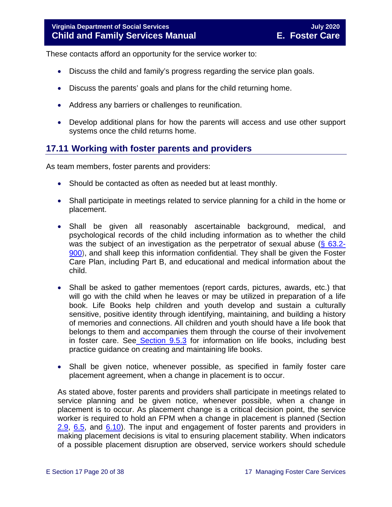These contacts afford an opportunity for the service worker to:

- Discuss the child and family's progress regarding the service plan goals.
- Discuss the parents' goals and plans for the child returning home.
- Address any barriers or challenges to reunification.
- Develop additional plans for how the parents will access and use other support systems once the child returns home.

## <span id="page-19-0"></span>**17.11 Working with foster parents and providers**

As team members, foster parents and providers:

- Should be contacted as often as needed but at least monthly.
- Shall participate in meetings related to service planning for a child in the home or placement.
- Shall be given all reasonably ascertainable background, medical, and psychological records of the child including information as to whether the child was the subject of an investigation as the perpetrator of sexual abuse  $(\S$  63.2-[900\)](https://law.lis.virginia.gov/vacode/title63.2/chapter9/section63.2-900/), and shall keep this information confidential. They shall be given the Foster Care Plan, including Part B, and educational and medical information about the child.
- Shall be asked to gather mementoes (report cards, pictures, awards, etc.) that will go with the child when he leaves or may be utilized in preparation of a life book. Life Books help children and youth develop and sustain a culturally sensitive, positive identity through identifying, maintaining, and building a history of memories and connections. All children and youth should have a life book that belongs to them and accompanies them through the course of their involvement in foster care. See [Section 9.5.3](https://fusion.dss.virginia.gov/Portals/%5bdfs%5d/Files/DFS%20Manuals/Foster%20Care%20Manuals/Foster%20Care%20Manual%2007-2020/Final%20Foster%20Care%20Manual%2007-2020/section_9_achieving_permanency_goal_adoption.pdf#page=18) for information on life books, including best practice guidance on creating and maintaining life books.
- Shall be given notice, whenever possible, as specified in family foster care placement agreement, when a change in placement is to occur.

As stated above, foster parents and providers shall participate in meetings related to service planning and be given notice, whenever possible, when a change in placement is to occur. As placement change is a critical decision point, the service worker is required to hold an FPM when a change in placement is planned (Section  $2.9, 6.5$  $2.9, 6.5$ , and  $6.10$ ). The input and engagement of foster parents and providers in making placement decisions is vital to ensuring placement stability. When indicators of a possible placement disruption are observed, service workers should schedule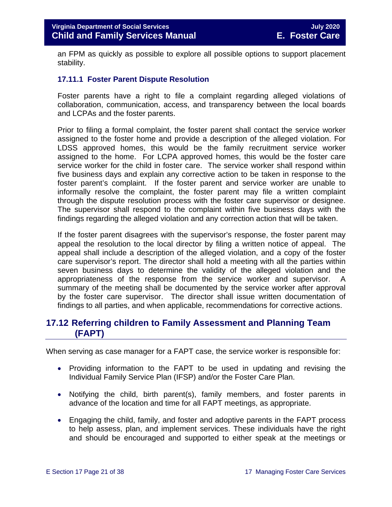an FPM as quickly as possible to explore all possible options to support placement stability.

## <span id="page-20-0"></span>**17.11.1 Foster Parent Dispute Resolution**

Foster parents have a right to file a complaint regarding alleged violations of collaboration, communication, access, and transparency between the local boards and LCPAs and the foster parents.

Prior to filing a formal complaint, the foster parent shall contact the service worker assigned to the foster home and provide a description of the alleged violation. For LDSS approved homes, this would be the family recruitment service worker assigned to the home. For LCPA approved homes, this would be the foster care service worker for the child in foster care. The service worker shall respond within five business days and explain any corrective action to be taken in response to the foster parent's complaint. If the foster parent and service worker are unable to informally resolve the complaint, the foster parent may file a written complaint through the dispute resolution process with the foster care supervisor or designee. The supervisor shall respond to the complaint within five business days with the findings regarding the alleged violation and any correction action that will be taken.

If the foster parent disagrees with the supervisor's response, the foster parent may appeal the resolution to the local director by filing a written notice of appeal. The appeal shall include a description of the alleged violation, and a copy of the foster care supervisor's report. The director shall hold a meeting with all the parties within seven business days to determine the validity of the alleged violation and the appropriateness of the response from the service worker and supervisor. A summary of the meeting shall be documented by the service worker after approval by the foster care supervisor. The director shall issue written documentation of findings to all parties, and when applicable, recommendations for corrective actions.

## <span id="page-20-1"></span>**17.12 Referring children to Family Assessment and Planning Team (FAPT)**

When serving as case manager for a FAPT case, the service worker is responsible for:

- Providing information to the FAPT to be used in updating and revising the Individual Family Service Plan (IFSP) and/or the Foster Care Plan.
- Notifying the child, birth parent(s), family members, and foster parents in advance of the location and time for all FAPT meetings, as appropriate.
- Engaging the child, family, and foster and adoptive parents in the FAPT process to help assess, plan, and implement services. These individuals have the right and should be encouraged and supported to either speak at the meetings or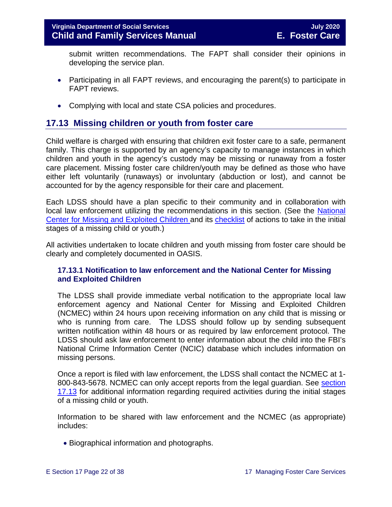submit written recommendations. The FAPT shall consider their opinions in developing the service plan.

- Participating in all FAPT reviews, and encouraging the parent(s) to participate in FAPT reviews.
- Complying with local and state CSA policies and procedures.

## <span id="page-21-0"></span>**17.13 Missing children or youth from foster care**

Child welfare is charged with ensuring that children exit foster care to a safe, permanent family. This charge is supported by an agency's capacity to manage instances in which children and youth in the agency's custody may be missing or runaway from a foster care placement. Missing foster care children/youth may be defined as those who have either left voluntarily (runaways) or involuntary (abduction or lost), and cannot be accounted for by the agency responsible for their care and placement.

Each LDSS should have a plan specific to their community and in collaboration with local law enforcement utilizing the recommendations in this section. (See the [National](http://www.missingkids.com/MissingChild)  [Center for Missing and Exploited Children](http://www.missingkids.com/MissingChild) and its [checklist](http://www.missingkids.com/content/dam/missingkids/pdfs/publications/nc198.pdf) of actions to take in the initial stages of a missing child or youth.)

All activities undertaken to locate children and youth missing from foster care should be clearly and completely documented in OASIS.

## <span id="page-21-1"></span>**17.13.1 Notification to law enforcement and the National Center for Missing and Exploited Children**

The LDSS shall provide immediate verbal notification to the appropriate local law enforcement agency and National Center for Missing and Exploited Children (NCMEC) within 24 hours upon receiving information on any child that is missing or who is running from care. The LDSS should follow up by sending subsequent written notification within 48 hours or as required by law enforcement protocol. The LDSS should ask law enforcement to enter information about the child into the FBI's National Crime Information Center (NCIC) database which includes information on missing persons.

Once a report is filed with law enforcement, the LDSS shall contact the NCMEC at 1- 800-843-5678. NCMEC can only accept reports from the legal guardian. See [section](#page-21-0)  [17.13](#page-21-0) for additional information regarding required activities during the initial stages of a missing child or youth.

Information to be shared with law enforcement and the NCMEC (as appropriate) includes:

• Biographical information and photographs.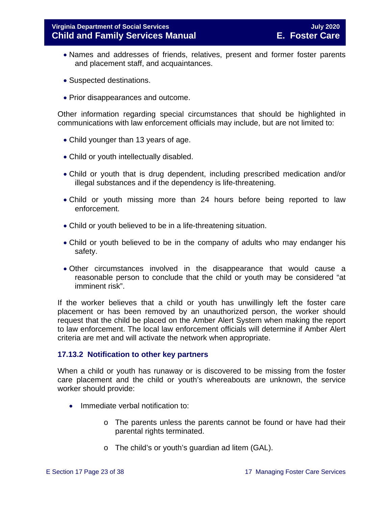- Names and addresses of friends, relatives, present and former foster parents and placement staff, and acquaintances.
- Suspected destinations.
- Prior disappearances and outcome.

Other information regarding special circumstances that should be highlighted in communications with law enforcement officials may include, but are not limited to:

- Child younger than 13 years of age.
- Child or youth intellectually disabled.
- Child or youth that is drug dependent, including prescribed medication and/or illegal substances and if the dependency is life-threatening.
- Child or youth missing more than 24 hours before being reported to law enforcement.
- Child or youth believed to be in a life-threatening situation.
- Child or youth believed to be in the company of adults who may endanger his safety.
- Other circumstances involved in the disappearance that would cause a reasonable person to conclude that the child or youth may be considered "at imminent risk".

If the worker believes that a child or youth has unwillingly left the foster care placement or has been removed by an unauthorized person, the worker should request that the child be placed on the Amber Alert System when making the report to law enforcement. The local law enforcement officials will determine if Amber Alert criteria are met and will activate the network when appropriate.

#### <span id="page-22-0"></span>**17.13.2 Notification to other key partners**

When a child or youth has runaway or is discovered to be missing from the foster care placement and the child or youth's whereabouts are unknown, the service worker should provide:

- Immediate verbal notification to:
	- o The parents unless the parents cannot be found or have had their parental rights terminated.
	- o The child's or youth's guardian ad litem (GAL).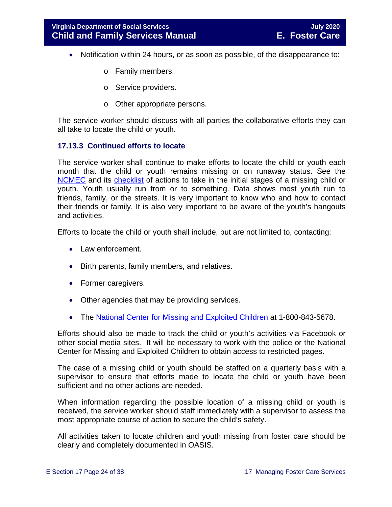- Notification within 24 hours, or as soon as possible, of the disappearance to:
	- o Family members.
	- o Service providers.
	- o Other appropriate persons.

The service worker should discuss with all parties the collaborative efforts they can all take to locate the child or youth.

## <span id="page-23-0"></span>**17.13.3 Continued efforts to locate**

The service worker shall continue to make efforts to locate the child or youth each month that the child or youth remains missing or on runaway status. See the [NCMEC](http://www.missingkids.com/MissingChild) and its [checklist](http://www.missingkids.com/content/dam/missingkids/pdfs/publications/nc198.pdf) of actions to take in the initial stages of a missing child or youth. Youth usually run from or to something. Data shows most youth run to friends, family, or the streets. It is very important to know who and how to contact their friends or family. It is also very important to be aware of the youth's hangouts and activities.

Efforts to locate the child or youth shall include, but are not limited to, contacting:

- Law enforcement.
- Birth parents, family members, and relatives.
- Former caregivers.
- Other agencies that may be providing services.
- The [National Center for Missing and Exploited Children](http://www.missingkids.com/MissingChild) at 1-800-843-5678.

Efforts should also be made to track the child or youth's activities via Facebook or other social media sites. It will be necessary to work with the police or the National Center for Missing and Exploited Children to obtain access to restricted pages.

The case of a missing child or youth should be staffed on a quarterly basis with a supervisor to ensure that efforts made to locate the child or youth have been sufficient and no other actions are needed.

When information regarding the possible location of a missing child or youth is received, the service worker should staff immediately with a supervisor to assess the most appropriate course of action to secure the child's safety.

All activities taken to locate children and youth missing from foster care should be clearly and completely documented in OASIS.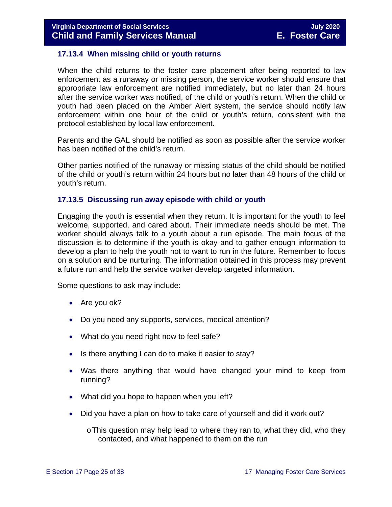#### <span id="page-24-0"></span>**17.13.4 When missing child or youth returns**

When the child returns to the foster care placement after being reported to law enforcement as a runaway or missing person, the service worker should ensure that appropriate law enforcement are notified immediately, but no later than 24 hours after the service worker was notified, of the child or youth's return. When the child or youth had been placed on the Amber Alert system, the service should notify law enforcement within one hour of the child or youth's return, consistent with the protocol established by local law enforcement.

Parents and the GAL should be notified as soon as possible after the service worker has been notified of the child's return.

Other parties notified of the runaway or missing status of the child should be notified of the child or youth's return within 24 hours but no later than 48 hours of the child or youth's return.

#### <span id="page-24-1"></span>**17.13.5 Discussing run away episode with child or youth**

Engaging the youth is essential when they return. It is important for the youth to feel welcome, supported, and cared about. Their immediate needs should be met. The worker should always talk to a youth about a run episode. The main focus of the discussion is to determine if the youth is okay and to gather enough information to develop a plan to help the youth not to want to run in the future. Remember to focus on a solution and be nurturing. The information obtained in this process may prevent a future run and help the service worker develop targeted information.

Some questions to ask may include:

- Are you ok?
- Do you need any supports, services, medical attention?
- What do you need right now to feel safe?
- Is there anything I can do to make it easier to stay?
- Was there anything that would have changed your mind to keep from running?
- What did you hope to happen when you left?
- Did you have a plan on how to take care of yourself and did it work out?

 $\circ$  This question may help lead to where they ran to, what they did, who they contacted, and what happened to them on the run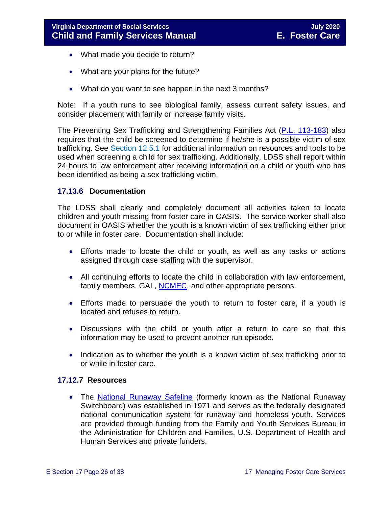- What made you decide to return?
- What are your plans for the future?
- What do you want to see happen in the next 3 months?

Note: If a youth runs to see biological family, assess current safety issues, and consider placement with family or increase family visits.

The Preventing Sex Trafficking and Strengthening Families Act [\(P.L. 113-183\)](https://www.congress.gov/113/plaws/publ183/PLAW-113publ183.pdf) also requires that the child be screened to determine if he/she is a possible victim of sex trafficking. See [Section 12.5.1](https://fusion.dss.virginia.gov/Portals/%5bdfs%5d/Files/DFS%20Manuals/Foster%20Care%20Manuals/Foster%20Care%20Manual%2007-2020/Final%20Foster%20Care%20Manual%2007-2020/section_12_identifying_services_to_be_provided.pdf#page=10) for additional information on resources and tools to be used when screening a child for sex trafficking. Additionally, LDSS shall report within 24 hours to law enforcement after receiving information on a child or youth who has been identified as being a sex trafficking victim.

#### <span id="page-25-0"></span>**17.13.6 Documentation**

The LDSS shall clearly and completely document all activities taken to locate children and youth missing from foster care in OASIS. The service worker shall also document in OASIS whether the youth is a known victim of sex trafficking either prior to or while in foster care. Documentation shall include:

- Efforts made to locate the child or youth, as well as any tasks or actions assigned through case staffing with the supervisor.
- All continuing efforts to locate the child in collaboration with law enforcement, family members, GAL, [NCMEC,](http://www.missingkids.com/MissingChild) and other appropriate persons.
- Efforts made to persuade the youth to return to foster care, if a youth is located and refuses to return.
- Discussions with the child or youth after a return to care so that this information may be used to prevent another run episode.
- Indication as to whether the youth is a known victim of sex trafficking prior to or while in foster care.

#### <span id="page-25-1"></span>**17.12.7 Resources**

• The [National Runaway Safeline](http://www.1800runaway.org/) (formerly known as the National Runaway Switchboard) was established in 1971 and serves as the federally designated national communication system for runaway and homeless youth. Services are provided through funding from the Family and Youth Services Bureau in the Administration for Children and Families, U.S. Department of Health and Human Services and private funders.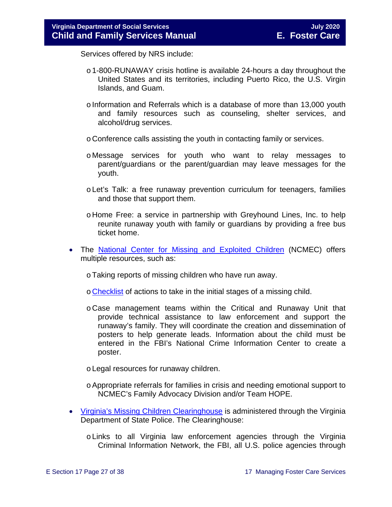Services offered by NRS include:

- o1-800-RUNAWAY crisis hotline is available 24-hours a day throughout the United States and its territories, including Puerto Rico, the U.S. Virgin Islands, and Guam.
- $\circ$  Information and Referrals which is a database of more than 13,000 youth and family resources such as counseling, shelter services, and alcohol/drug services.
- o Conference calls assisting the youth in contacting family or services.
- o Message services for youth who want to relay messages to parent/guardians or the parent/guardian may leave messages for the youth.
- o Let's Talk: a free runaway prevention curriculum for teenagers, families and those that support them.
- o Home Free: a service in partnership with Greyhound Lines, Inc. to help reunite runaway youth with family or guardians by providing a free bus ticket home.
- The [National Center for Missing and Exploited Children](http://www.missingkids.com/MissingChild) (NCMEC) offers multiple resources, such as:
	- oTaking reports of missing children who have run away.
	- o [Checklist](http://www.missingkids.com/content/dam/missingkids/pdfs/publications/nc198.pdf) of actions to take in the initial stages of a missing child.
	- o Case management teams within the Critical and Runaway Unit that provide technical assistance to law enforcement and support the runaway's family. They will coordinate the creation and dissemination of posters to help generate leads. Information about the child must be entered in the FBI's National Crime Information Center to create a poster.
	- oLegal resources for runaway children.
	- oAppropriate referrals for families in crisis and needing emotional support to NCMEC's Family Advocacy Division and/or Team HOPE.
- [Virginia's Missing Children Clearinghouse](http://www.vsp.state.va.us/CJIS_VMEC.shtm) is administered through the Virginia Department of State Police. The Clearinghouse:
	- oLinks to all Virginia law enforcement agencies through the Virginia Criminal Information Network, the FBI, all U.S. police agencies through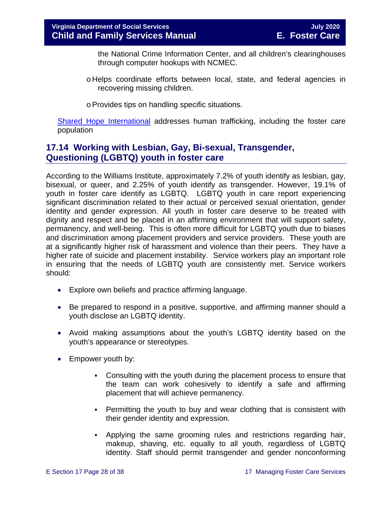the National Crime Information Center, and all children's clearinghouses through computer hookups with NCMEC.

- o Helps coordinate efforts between local, state, and federal agencies in recovering missing children.
- oProvides tips on handling specific situations.

[Shared Hope International](http://sharedhope.org/what-we-do/) addresses human trafficking, including the foster care population

## <span id="page-27-0"></span>**17.14 Working with Lesbian, Gay, Bi-sexual, Transgender, Questioning (LGBTQ) youth in foster care**

According to the Williams Institute, approximately 7.2% of youth identify as lesbian, gay, bisexual, or queer, and 2.25% of youth identify as transgender. However, 19.1% of youth in foster care identify as LGBTQ. LGBTQ youth in care report experiencing significant discrimination related to their actual or perceived sexual orientation, gender identity and gender expression. All youth in foster care deserve to be treated with dignity and respect and be placed in an affirming environment that will support safety, permanency, and well-being. This is often more difficult for LGBTQ youth due to biases and discrimination among placement providers and service providers. These youth are at a significantly higher risk of harassment and violence than their peers. They have a higher rate of suicide and placement instability. Service workers play an important role in ensuring that the needs of LGBTQ youth are consistently met. Service workers should:

- Explore own beliefs and practice affirming language.
- Be prepared to respond in a positive, supportive, and affirming manner should a youth disclose an LGBTQ identity.
- Avoid making assumptions about the youth's LGBTQ identity based on the youth's appearance or stereotypes.
- Empower youth by:
	- Consulting with the youth during the placement process to ensure that the team can work cohesively to identify a safe and affirming placement that will achieve permanency.
	- Permitting the youth to buy and wear clothing that is consistent with their gender identity and expression.
	- Applying the same grooming rules and restrictions regarding hair, makeup, shaving, etc. equally to all youth, regardless of LGBTQ identity. Staff should permit transgender and gender nonconforming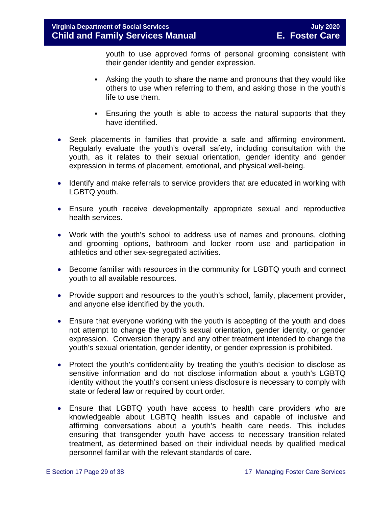youth to use approved forms of personal grooming consistent with their gender identity and gender expression.

- Asking the youth to share the name and pronouns that they would like others to use when referring to them, and asking those in the youth's life to use them.
- Ensuring the youth is able to access the natural supports that they have identified.
- Seek placements in families that provide a safe and affirming environment. Regularly evaluate the youth's overall safety, including consultation with the youth, as it relates to their sexual orientation, gender identity and gender expression in terms of placement, emotional, and physical well-being.
- Identify and make referrals to service providers that are educated in working with LGBTQ youth.
- Ensure youth receive developmentally appropriate sexual and reproductive health services.
- Work with the youth's school to address use of names and pronouns, clothing and grooming options, bathroom and locker room use and participation in athletics and other sex-segregated activities.
- Become familiar with resources in the community for LGBTQ youth and connect youth to all available resources.
- Provide support and resources to the youth's school, family, placement provider, and anyone else identified by the youth.
- Ensure that everyone working with the youth is accepting of the youth and does not attempt to change the youth's sexual orientation, gender identity, or gender expression. Conversion therapy and any other treatment intended to change the youth's sexual orientation, gender identity, or gender expression is prohibited.
- Protect the youth's confidentiality by treating the youth's decision to disclose as sensitive information and do not disclose information about a youth's LGBTQ identity without the youth's consent unless disclosure is necessary to comply with state or federal law or required by court order.
- Ensure that LGBTQ youth have access to health care providers who are knowledgeable about LGBTQ health issues and capable of inclusive and affirming conversations about a youth's health care needs. This includes ensuring that transgender youth have access to necessary transition-related treatment, as determined based on their individual needs by qualified medical personnel familiar with the relevant standards of care.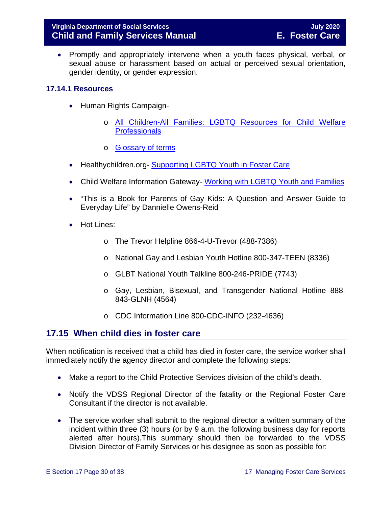• Promptly and appropriately intervene when a youth faces physical, verbal, or sexual abuse or harassment based on actual or perceived sexual orientation, gender identity, or gender expression.

## <span id="page-29-0"></span>**17.14.1 Resources**

- Human Rights Campaign
	- o [All Children-All Families: LGBTQ Resources for Child Welfare](http://www.hrc.org/resources/all-children-all-families-additional-resources#Best%20Practices)  **[Professionals](http://www.hrc.org/resources/all-children-all-families-additional-resources#Best%20Practices)**
	- o [Glossary of terms](https://www.hrc.org/resources/glossary-of-terms)
- Healthychildren.org- [Supporting LGBTQ Youth in Foster Care](https://healthychildren.org/English/family-life/family-dynamics/adoption-and-foster-care/Pages/Supporting-LGBTQ-Youth-in-Foster-Care.aspx)
- Child Welfare Information Gateway- [Working with LGBTQ Youth and Families](https://www.childwelfare.gov/topics/systemwide/diverse-populations/lgbtq/)
- "This is a Book for Parents of Gay Kids: A Question and Answer Guide to Everyday Life" by Dannielle Owens-Reid
- Hot Lines:
	- o The Trevor Helpline 866-4-U-Trevor (488-7386)
	- o National Gay and Lesbian Youth Hotline 800-347-TEEN (8336)
	- o GLBT National Youth Talkline 800-246-PRIDE (7743)
	- o Gay, Lesbian, Bisexual, and Transgender National Hotline 888- 843-GLNH (4564)
	- o CDC Information Line 800-CDC-INFO (232-4636)

## <span id="page-29-1"></span>**17.15 When child dies in foster care**

When notification is received that a child has died in foster care, the service worker shall immediately notify the agency director and complete the following steps:

- Make a report to the Child Protective Services division of the child's death.
- Notify the VDSS Regional Director of the fatality or the Regional Foster Care Consultant if the director is not available.
- The service worker shall submit to the regional director a written summary of the incident within three (3) hours (or by 9 a.m. the following business day for reports alerted after hours).This summary should then be forwarded to the VDSS Division Director of Family Services or his designee as soon as possible for: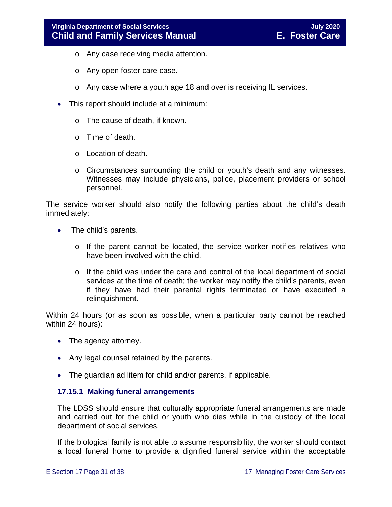- o Any case receiving media attention.
- o Any open foster care case.
- o Any case where a youth age 18 and over is receiving IL services.
- This report should include at a minimum:
	- o The cause of death, if known.
	- o Time of death.
	- o Location of death.
	- o Circumstances surrounding the child or youth's death and any witnesses. Witnesses may include physicians, police, placement providers or school personnel.

The service worker should also notify the following parties about the child's death immediately:

- The child's parents.
	- o If the parent cannot be located, the service worker notifies relatives who have been involved with the child.
	- o If the child was under the care and control of the local department of social services at the time of death; the worker may notify the child's parents, even if they have had their parental rights terminated or have executed a relinquishment.

Within 24 hours (or as soon as possible, when a particular party cannot be reached within 24 hours):

- The agency attorney.
- Any legal counsel retained by the parents.
- The guardian ad litem for child and/or parents, if applicable.

#### <span id="page-30-0"></span>**17.15.1 Making funeral arrangements**

The LDSS should ensure that culturally appropriate funeral arrangements are made and carried out for the child or youth who dies while in the custody of the local department of social services.

If the biological family is not able to assume responsibility, the worker should contact a local funeral home to provide a dignified funeral service within the acceptable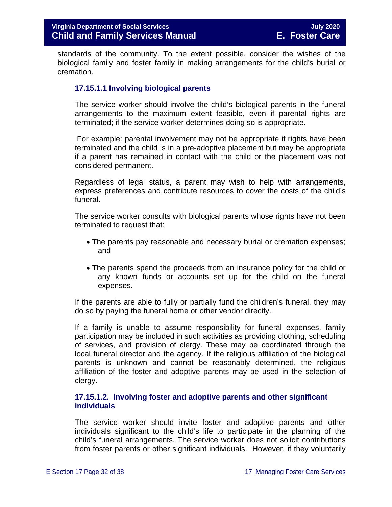standards of the community. To the extent possible, consider the wishes of the biological family and foster family in making arrangements for the child's burial or cremation.

## **17.15.1.1 Involving biological parents**

The service worker should involve the child's biological parents in the funeral arrangements to the maximum extent feasible, even if parental rights are terminated; if the service worker determines doing so is appropriate.

For example: parental involvement may not be appropriate if rights have been terminated and the child is in a pre-adoptive placement but may be appropriate if a parent has remained in contact with the child or the placement was not considered permanent.

Regardless of legal status, a parent may wish to help with arrangements, express preferences and contribute resources to cover the costs of the child's funeral.

The service worker consults with biological parents whose rights have not been terminated to request that:

- The parents pay reasonable and necessary burial or cremation expenses; and
- The parents spend the proceeds from an insurance policy for the child or any known funds or accounts set up for the child on the funeral expenses.

If the parents are able to fully or partially fund the children's funeral, they may do so by paying the funeral home or other vendor directly.

If a family is unable to assume responsibility for funeral expenses, family participation may be included in such activities as providing clothing, scheduling of services, and provision of clergy. These may be coordinated through the local funeral director and the agency. If the religious affiliation of the biological parents is unknown and cannot be reasonably determined, the religious affiliation of the foster and adoptive parents may be used in the selection of clergy.

## **17.15.1.2. Involving foster and adoptive parents and other significant individuals**

The service worker should invite foster and adoptive parents and other individuals significant to the child's life to participate in the planning of the child's funeral arrangements. The service worker does not solicit contributions from foster parents or other significant individuals. However, if they voluntarily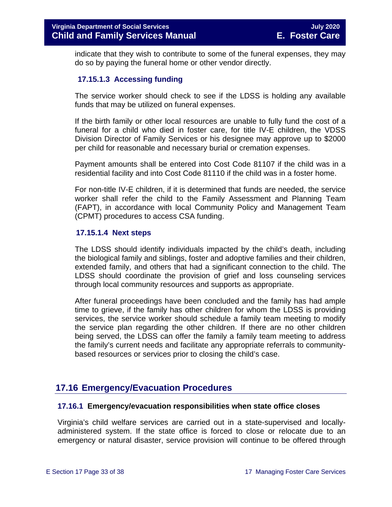indicate that they wish to contribute to some of the funeral expenses, they may do so by paying the funeral home or other vendor directly.

## **17.15.1.3 Accessing funding**

The service worker should check to see if the LDSS is holding any available funds that may be utilized on funeral expenses.

If the birth family or other local resources are unable to fully fund the cost of a funeral for a child who died in foster care, for title IV-E children, the VDSS Division Director of Family Services or his designee may approve up to \$2000 per child for reasonable and necessary burial or cremation expenses.

Payment amounts shall be entered into Cost Code 81107 if the child was in a residential facility and into Cost Code 81110 if the child was in a foster home.

For non-title IV-E children, if it is determined that funds are needed, the service worker shall refer the child to the Family Assessment and Planning Team (FAPT), in accordance with local Community Policy and Management Team (CPMT) procedures to access CSA funding.

#### **17.15.1.4 Next steps**

The LDSS should identify individuals impacted by the child's death, including the biological family and siblings, foster and adoptive families and their children, extended family, and others that had a significant connection to the child. The LDSS should coordinate the provision of grief and loss counseling services through local community resources and supports as appropriate.

After funeral proceedings have been concluded and the family has had ample time to grieve, if the family has other children for whom the LDSS is providing services, the service worker should schedule a family team meeting to modify the service plan regarding the other children. If there are no other children being served, the LDSS can offer the family a family team meeting to address the family's current needs and facilitate any appropriate referrals to communitybased resources or services prior to closing the child's case.

## <span id="page-32-0"></span>**17.16 Emergency/Evacuation Procedures**

#### <span id="page-32-1"></span>**17.16.1 Emergency/evacuation responsibilities when state office closes**

Virginia's child welfare services are carried out in a state-supervised and locallyadministered system. If the state office is forced to close or relocate due to an emergency or natural disaster, service provision will continue to be offered through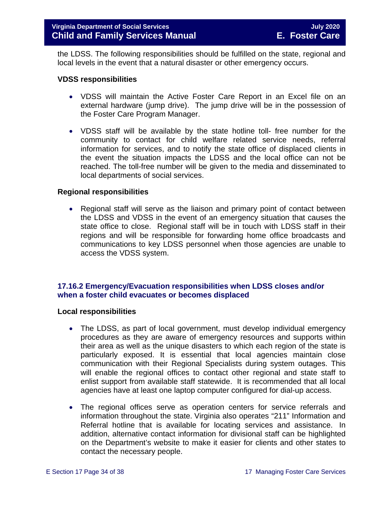the LDSS. The following responsibilities should be fulfilled on the state, regional and local levels in the event that a natural disaster or other emergency occurs.

#### **VDSS responsibilities**

- VDSS will maintain the Active Foster Care Report in an Excel file on an external hardware (jump drive). The jump drive will be in the possession of the Foster Care Program Manager.
- VDSS staff will be available by the state hotline toll- free number for the community to contact for child welfare related service needs, referral information for services, and to notify the state office of displaced clients in the event the situation impacts the LDSS and the local office can not be reached. The toll-free number will be given to the media and disseminated to local departments of social services.

#### **Regional responsibilities**

• Regional staff will serve as the liaison and primary point of contact between the LDSS and VDSS in the event of an emergency situation that causes the state office to close. Regional staff will be in touch with LDSS staff in their regions and will be responsible for forwarding home office broadcasts and communications to key LDSS personnel when those agencies are unable to access the VDSS system.

## <span id="page-33-0"></span>**17.16.2 Emergency/Evacuation responsibilities when LDSS closes and/or when a foster child evacuates or becomes displaced**

#### **Local responsibilities**

- The LDSS, as part of local government, must develop individual emergency procedures as they are aware of emergency resources and supports within their area as well as the unique disasters to which each region of the state is particularly exposed. It is essential that local agencies maintain close communication with their Regional Specialists during system outages. This will enable the regional offices to contact other regional and state staff to enlist support from available staff statewide. It is recommended that all local agencies have at least one laptop computer configured for dial-up access.
- The regional offices serve as operation centers for service referrals and information throughout the state. Virginia also operates "211" Information and Referral hotline that is available for locating services and assistance. In addition, alternative contact information for divisional staff can be highlighted on the Department's website to make it easier for clients and other states to contact the necessary people.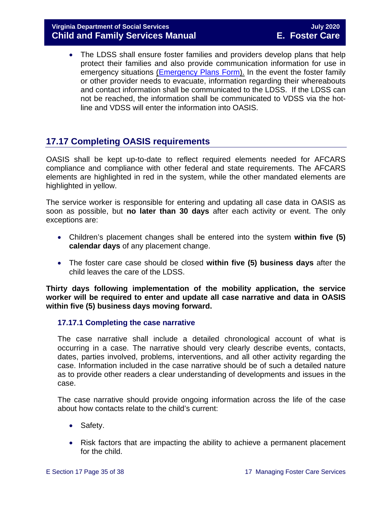• The LDSS shall ensure foster families and providers develop plans that help protect their families and also provide communication information for use in emergency situations [\(Emergency Plans Form\)](https://fusion.dss.virginia.gov/Portals/%5Bdfs%5D/Files/Family%20Recruitment/Family%20Recruitment%20Forms/Emergency%20Plans.doc). In the event the foster family or other provider needs to evacuate, information regarding their whereabouts and contact information shall be communicated to the LDSS. If the LDSS can not be reached, the information shall be communicated to VDSS via the hotline and VDSS will enter the information into OASIS.

## <span id="page-34-0"></span>**17.17 Completing OASIS requirements**

OASIS shall be kept up-to-date to reflect required elements needed for AFCARS compliance and compliance with other federal and state requirements. The AFCARS elements are highlighted in red in the system, while the other mandated elements are highlighted in yellow.

The service worker is responsible for entering and updating all case data in OASIS as soon as possible, but **no later than 30 days** after each activity or event. The only exceptions are:

- Children's placement changes shall be entered into the system **within five (5) calendar days** of any placement change.
- The foster care case should be closed **within five (5) business days** after the child leaves the care of the LDSS.

**Thirty days following implementation of the mobility application, the service worker will be required to enter and update all case narrative and data in OASIS within five (5) business days moving forward.** 

## <span id="page-34-1"></span>**17.17.1 Completing the case narrative**

The case narrative shall include a detailed chronological account of what is occurring in a case. The narrative should very clearly describe events, contacts, dates, parties involved, problems, interventions, and all other activity regarding the case. Information included in the case narrative should be of such a detailed nature as to provide other readers a clear understanding of developments and issues in the case.

The case narrative should provide ongoing information across the life of the case about how contacts relate to the child's current:

- Safety.
- Risk factors that are impacting the ability to achieve a permanent placement for the child.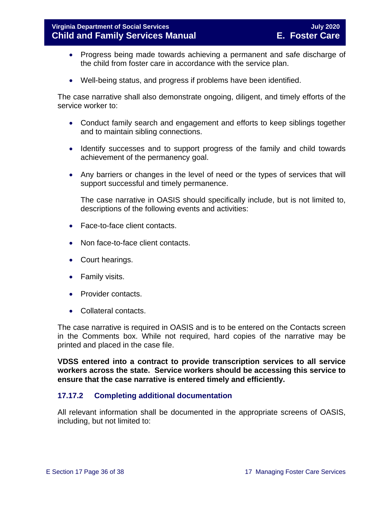- Progress being made towards achieving a permanent and safe discharge of the child from foster care in accordance with the service plan.
- Well-being status, and progress if problems have been identified.

The case narrative shall also demonstrate ongoing, diligent, and timely efforts of the service worker to:

- Conduct family search and engagement and efforts to keep siblings together and to maintain sibling connections.
- Identify successes and to support progress of the family and child towards achievement of the permanency goal.
- Any barriers or changes in the level of need or the types of services that will support successful and timely permanence.

The case narrative in OASIS should specifically include, but is not limited to, descriptions of the following events and activities:

- Face-to-face client contacts.
- Non face-to-face client contacts.
- Court hearings.
- Family visits.
- Provider contacts.
- Collateral contacts.

The case narrative is required in OASIS and is to be entered on the Contacts screen in the Comments box. While not required, hard copies of the narrative may be printed and placed in the case file.

**VDSS entered into a contract to provide transcription services to all service workers across the state. Service workers should be accessing this service to ensure that the case narrative is entered timely and efficiently.** 

## <span id="page-35-0"></span>**17.17.2 Completing additional documentation**

All relevant information shall be documented in the appropriate screens of OASIS, including, but not limited to: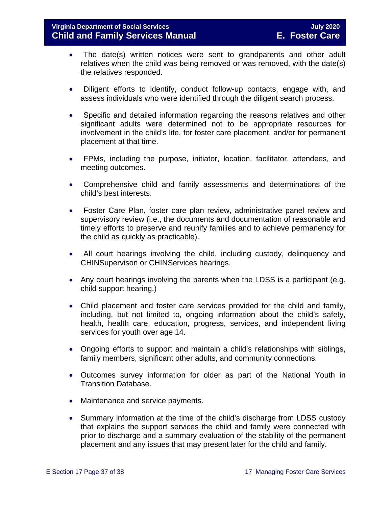- The date(s) written notices were sent to grandparents and other adult relatives when the child was being removed or was removed, with the date(s) the relatives responded.
- Diligent efforts to identify, conduct follow-up contacts, engage with, and assess individuals who were identified through the diligent search process.
- Specific and detailed information regarding the reasons relatives and other significant adults were determined not to be appropriate resources for involvement in the child's life, for foster care placement, and/or for permanent placement at that time.
- FPMs, including the purpose, initiator, location, facilitator, attendees, and meeting outcomes.
- Comprehensive child and family assessments and determinations of the child's best interests.
- Foster Care Plan, foster care plan review, administrative panel review and supervisory review (i.e., the documents and documentation of reasonable and timely efforts to preserve and reunify families and to achieve permanency for the child as quickly as practicable).
- All court hearings involving the child, including custody, delinquency and CHINSupervison or CHINServices hearings.
- Any court hearings involving the parents when the LDSS is a participant (e.g. child support hearing.)
- Child placement and foster care services provided for the child and family, including, but not limited to, ongoing information about the child's safety, health, health care, education, progress, services, and independent living services for youth over age 14.
- Ongoing efforts to support and maintain a child's relationships with siblings, family members, significant other adults, and community connections.
- Outcomes survey information for older as part of the National Youth in Transition Database.
- Maintenance and service payments.
- Summary information at the time of the child's discharge from LDSS custody that explains the support services the child and family were connected with prior to discharge and a summary evaluation of the stability of the permanent placement and any issues that may present later for the child and family.